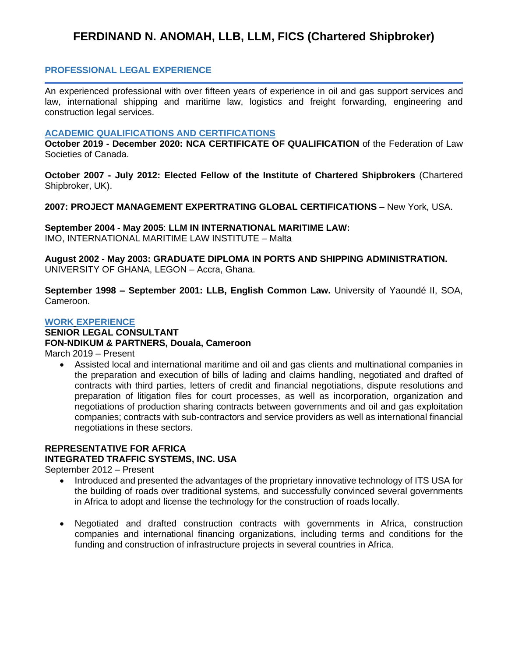# **FERDINAND N. ANOMAH, LLB, LLM, FICS (Chartered Shipbroker)**

## **PROFESSIONAL LEGAL EXPERIENCE**

An experienced professional with over fifteen years of experience in oil and gas support services and law, international shipping and maritime law, logistics and freight forwarding, engineering and construction legal services.

#### **ACADEMIC QUALIFICATIONS AND CERTIFICATIONS**

**October 2019 - December 2020: NCA CERTIFICATE OF QUALIFICATION** of the Federation of Law Societies of Canada.

**October 2007 - July 2012: Elected Fellow of the Institute of Chartered Shipbrokers** (Chartered Shipbroker, UK).

**2007: PROJECT MANAGEMENT EXPERTRATING GLOBAL CERTIFICATIONS –** New York, USA.

**September 2004 - May 2005**: **LLM IN INTERNATIONAL MARITIME LAW:** IMO, INTERNATIONAL MARITIME LAW INSTITUTE – Malta

**August 2002 - May 2003: GRADUATE DIPLOMA IN PORTS AND SHIPPING ADMINISTRATION.**  UNIVERSITY OF GHANA, LEGON – Accra, Ghana.

**September 1998 – September 2001: LLB, English Common Law.** University of Yaoundé II, SOA, Cameroon.

#### **WORK EXPERIENCE**

## **SENIOR LEGAL CONSULTANT**

#### **FON-NDIKUM & PARTNERS, Douala, Cameroon**

March 2019 – Present

• Assisted local and international maritime and oil and gas clients and multinational companies in the preparation and execution of bills of lading and claims handling, negotiated and drafted of contracts with third parties, letters of credit and financial negotiations, dispute resolutions and preparation of litigation files for court processes, as well as incorporation, organization and negotiations of production sharing contracts between governments and oil and gas exploitation companies; contracts with sub-contractors and service providers as well as international financial negotiations in these sectors.

## **REPRESENTATIVE FOR AFRICA INTEGRATED TRAFFIC SYSTEMS, INC. USA**

September 2012 – Present

- Introduced and presented the advantages of the proprietary innovative technology of ITS USA for the building of roads over traditional systems, and successfully convinced several governments in Africa to adopt and license the technology for the construction of roads locally.
- Negotiated and drafted construction contracts with governments in Africa, construction companies and international financing organizations, including terms and conditions for the funding and construction of infrastructure projects in several countries in Africa.